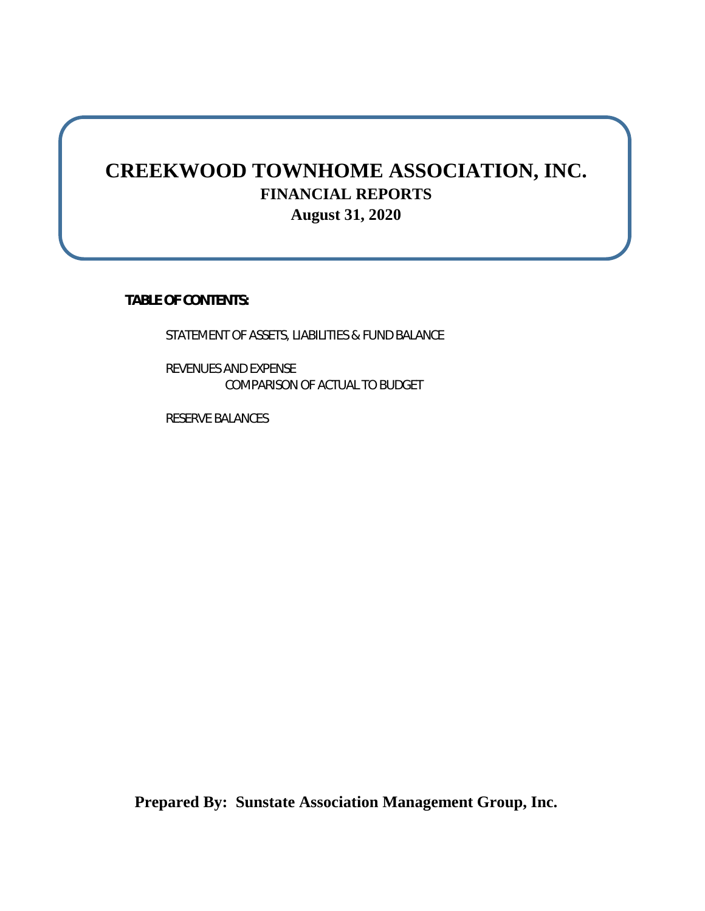# **CREEKWOOD TOWNHOME ASSOCIATION, INC. FINANCIAL REPORTS August 31, 2020**

**TABLE OF CONTENTS:**

STATEMENT OF ASSETS, LIABILITIES & FUND BALANCE

REVENUES AND EXPENSE COMPARISON OF ACTUAL TO BUDGET

RESERVE BALANCES

**Prepared By: Sunstate Association Management Group, Inc.**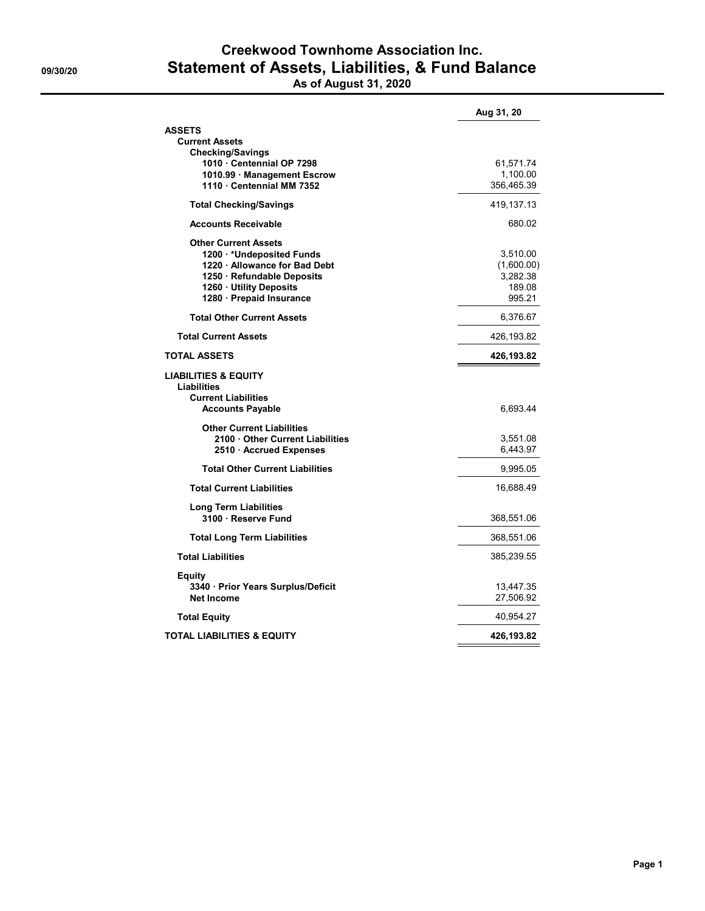## Creekwood Townhome Association Inc. 09/30/20 Statement of Assets, Liabilities, & Fund Balance As of August 31, 2020

|                                                       | Aug 31, 20            |
|-------------------------------------------------------|-----------------------|
| <b>ASSETS</b>                                         |                       |
| <b>Current Assets</b>                                 |                       |
| <b>Checking/Savings</b><br>1010 Centennial OP 7298    |                       |
| 1010.99 · Management Escrow                           | 61,571.74<br>1,100.00 |
| 1110 Centennial MM 7352                               | 356,465.39            |
| <b>Total Checking/Savings</b>                         | 419,137.13            |
| <b>Accounts Receivable</b>                            | 680.02                |
| <b>Other Current Assets</b>                           |                       |
| 1200 *Undeposited Funds                               | 3,510.00              |
| 1220 Allowance for Bad Debt                           | (1,600.00)            |
| 1250 · Refundable Deposits                            | 3,282.38              |
| 1260 Utility Deposits<br>1280 · Prepaid Insurance     | 189.08<br>995.21      |
| <b>Total Other Current Assets</b>                     | 6,376.67              |
| <b>Total Current Assets</b>                           |                       |
|                                                       | 426,193.82            |
| TOTAL ASSETS                                          | 426,193.82            |
| <b>LIABILITIES &amp; EQUITY</b><br>Liabilities        |                       |
| <b>Current Liabilities</b><br><b>Accounts Payable</b> | 6,693.44              |
| <b>Other Current Liabilities</b>                      |                       |
| 2100 Other Current Liabilities                        | 3,551.08              |
| 2510 Accrued Expenses                                 | 6,443.97              |
| <b>Total Other Current Liabilities</b>                | 9,995.05              |
| <b>Total Current Liabilities</b>                      | 16,688.49             |
| <b>Long Term Liabilities</b><br>3100 · Reserve Fund   | 368,551.06            |
| <b>Total Long Term Liabilities</b>                    | 368,551.06            |
| <b>Total Liabilities</b>                              | 385,239.55            |
|                                                       |                       |
| Equity<br>3340 · Prior Years Surplus/Deficit          | 13,447.35             |
| <b>Net Income</b>                                     | 27,506.92             |
| <b>Total Equity</b>                                   | 40,954.27             |
| TOTAL LIABILITIES & EQUITY                            | 426,193.82            |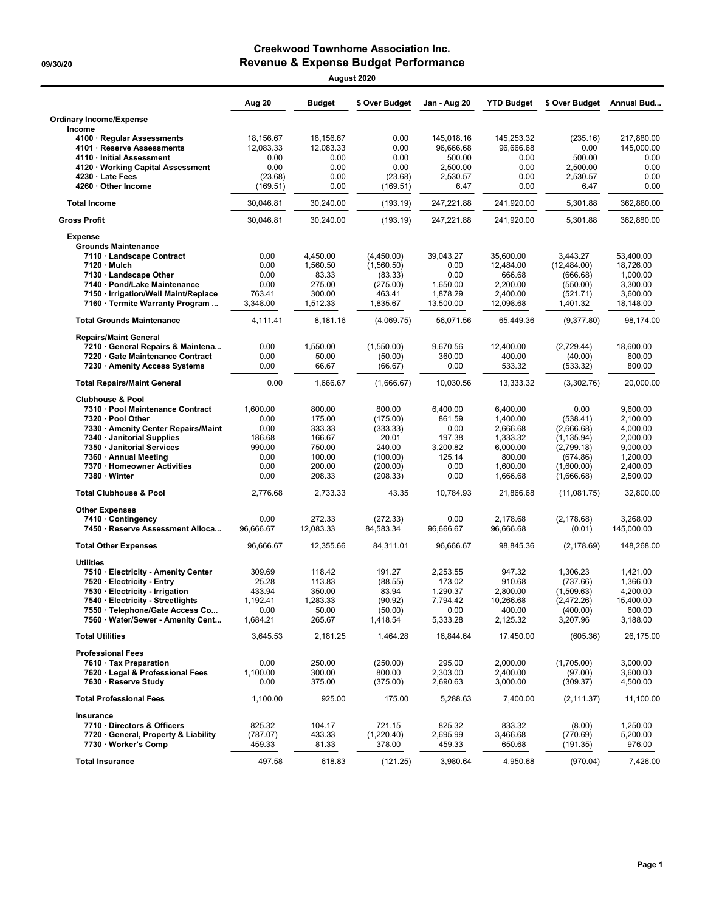### Creekwood Townhome Association Inc. 09/30/20 **Revenue & Expense Budget Performance**

| August 2020                                                          |                     |                     |                       |                   |                       |                          |                        |  |
|----------------------------------------------------------------------|---------------------|---------------------|-----------------------|-------------------|-----------------------|--------------------------|------------------------|--|
|                                                                      | Aug 20              | <b>Budget</b>       | \$ Over Budget        | Jan - Aug 20      | <b>YTD Budget</b>     | \$ Over Budget           | Annual Bud             |  |
| <b>Ordinary Income/Expense</b>                                       |                     |                     |                       |                   |                       |                          |                        |  |
| Income                                                               |                     |                     |                       |                   |                       |                          |                        |  |
| 4100 · Regular Assessments                                           | 18,156.67           | 18,156.67           | 0.00                  | 145.018.16        | 145,253.32            | (235.16)                 | 217,880.00             |  |
| 4101 · Reserve Assessments                                           | 12,083.33           | 12,083.33           | 0.00                  | 96,666.68         | 96,666.68             | 0.00                     | 145,000.00             |  |
| 4110 · Initial Assessment                                            | 0.00                | 0.00                | 0.00                  | 500.00            | 0.00                  | 500.00                   | 0.00                   |  |
| 4120 · Working Capital Assessment                                    | 0.00                | 0.00                | 0.00                  | 2,500.00          | 0.00                  | 2,500.00                 | 0.00                   |  |
| 4230 Late Fees<br>4260 · Other Income                                | (23.68)<br>(169.51) | 0.00<br>0.00        | (23.68)<br>(169.51)   | 2,530.57<br>6.47  | 0.00<br>0.00          | 2,530.57<br>6.47         | 0.00<br>0.00           |  |
| <b>Total Income</b>                                                  | 30,046.81           | 30,240.00           | (193.19)              | 247,221.88        | 241,920.00            | 5,301.88                 | 362,880.00             |  |
| <b>Gross Profit</b>                                                  | 30,046.81           | 30,240.00           | (193.19)              | 247,221.88        | 241,920.00            | 5.301.88                 | 362,880.00             |  |
| <b>Expense</b>                                                       |                     |                     |                       |                   |                       |                          |                        |  |
| <b>Grounds Maintenance</b>                                           |                     |                     |                       |                   |                       |                          |                        |  |
| 7110 · Landscape Contract                                            | 0.00                | 4,450.00            | (4,450.00)            | 39,043.27         | 35,600.00             | 3,443.27                 | 53,400.00              |  |
| 7120 · Mulch                                                         | 0.00                | 1,560.50            | (1,560.50)            | 0.00              | 12,484.00             | (12, 484.00)             | 18,726.00              |  |
| 7130 · Landscape Other                                               | 0.00                | 83.33               | (83.33)               | 0.00              | 666.68                | (666.68)                 | 1,000.00               |  |
| 7140 · Pond/Lake Maintenance                                         | 0.00                | 275.00              | (275.00)              | 1,650.00          | 2,200.00              | (550.00)                 | 3,300.00               |  |
| 7150 · Irrigation/Well Maint/Replace                                 | 763.41              | 300.00              | 463.41                | 1,878.29          | 2,400.00              | (521.71)                 | 3,600.00               |  |
| 7160 · Termite Warranty Program                                      | 3,348.00            | 1,512.33            | 1,835.67              | 13,500.00         | 12,098.68             | 1,401.32                 | 18,148.00              |  |
| <b>Total Grounds Maintenance</b>                                     | 4.111.41            | 8,181.16            | (4,069.75)            | 56,071.56         | 65,449.36             | (9,377.80)               | 98,174.00              |  |
| <b>Repairs/Maint General</b><br>7210 · General Repairs & Maintena    | 0.00                | 1,550.00            | (1,550.00)            | 9,670.56          | 12.400.00             | (2,729.44)               | 18,600.00              |  |
| 7220 · Gate Maintenance Contract                                     | 0.00                | 50.00               | (50.00)               | 360.00            | 400.00                | (40.00)                  | 600.00                 |  |
| 7230 · Amenity Access Systems                                        | 0.00                | 66.67               | (66.67)               | 0.00              | 533.32                | (533.32)                 | 800.00                 |  |
| <b>Total Repairs/Maint General</b>                                   | 0.00                | 1,666.67            | (1,666.67)            | 10,030.56         | 13,333.32             | (3,302.76)               | 20,000.00              |  |
| <b>Clubhouse &amp; Pool</b>                                          |                     |                     |                       |                   |                       |                          |                        |  |
| 7310 · Pool Maintenance Contract                                     | 1,600.00            | 800.00              | 800.00                | 6,400.00          | 6.400.00              | 0.00                     | 9,600.00               |  |
| 7320 · Pool Other                                                    | 0.00                | 175.00              | (175.00)              | 861.59            | 1,400.00              | (538.41)                 | 2,100.00               |  |
| 7330 • Amenity Center Repairs/Maint                                  | 0.00                | 333.33              | (333.33)              | 0.00              | 2,666.68              | (2,666.68)               | 4,000.00               |  |
| 7340 · Janitorial Supplies                                           | 186.68              | 166.67              | 20.01                 | 197.38            | 1,333.32              | (1, 135.94)              | 2,000.00               |  |
| 7350 · Janitorial Services                                           | 990.00              | 750.00              | 240.00                | 3,200.82          | 6,000.00              | (2,799.18)               | 9,000.00               |  |
| 7360 · Annual Meeting                                                | 0.00                | 100.00              | (100.00)              | 125.14            | 800.00                | (674.86)                 | 1,200.00               |  |
| 7370 · Homeowner Activities<br>7380 · Winter                         | 0.00<br>0.00        | 200.00<br>208.33    | (200.00)<br>(208.33)  | 0.00<br>0.00      | 1,600.00<br>1,666.68  | (1,600.00)<br>(1,666.68) | 2,400.00<br>2,500.00   |  |
| <b>Total Clubhouse &amp; Pool</b>                                    | 2,776.68            | 2,733.33            | 43.35                 | 10,784.93         | 21,866.68             | (11,081.75)              | 32,800.00              |  |
|                                                                      |                     |                     |                       |                   |                       |                          |                        |  |
| <b>Other Expenses</b>                                                |                     |                     |                       |                   |                       |                          |                        |  |
| 7410 · Contingency<br>7450 · Reserve Assessment Alloca               | 0.00<br>96,666.67   | 272.33<br>12,083.33 | (272.33)<br>84,583.34 | 0.00<br>96,666.67 | 2,178.68<br>96,666.68 | (2, 178.68)<br>(0.01)    | 3,268.00<br>145,000.00 |  |
| <b>Total Other Expenses</b>                                          | 96,666.67           | 12,355.66           | 84,311.01             | 96,666.67         | 98,845.36             | (2, 178.69)              | 148,268.00             |  |
| <b>Utilities</b>                                                     |                     |                     |                       |                   |                       |                          |                        |  |
| 7510 · Electricity - Amenity Center                                  | 309.69              | 118.42              | 191.27                | 2,253.55          | 947.32                | 1,306.23                 | 1,421.00               |  |
| 7520 · Electricity - Entry                                           | 25.28               | 113.83              | (88.55)               | 173.02            | 910.68                | (737.66)                 | 1,366.00               |  |
| 7530 · Electricity - Irrigation                                      | 433.94              | 350.00              | 83.94                 | 1,290.37          | 2,800.00              | (1,509.63)               | 4,200.00               |  |
| 7540 · Electricity - Streetlights                                    | 1,192.41            | 1,283.33            | (90.92)               | 7,794.42          | 10,266.68             | (2,472.26)               | 15,400.00              |  |
| 7550 · Telephone/Gate Access Co<br>7560 · Water/Sewer - Amenity Cent | 0.00<br>1,684.21    | 50.00<br>265.67     | (50.00)<br>1,418.54   | 0.00<br>5,333.28  | 400.00<br>2,125.32    | (400.00)<br>3,207.96     | 600.00<br>3,188.00     |  |
| <b>Total Utilities</b>                                               | 3,645.53            | 2,181.25            | 1,464.28              | 16,844.64         | 17,450.00             | (605.36)                 | 26,175.00              |  |
| <b>Professional Fees</b>                                             |                     |                     |                       |                   |                       |                          |                        |  |
| 7610 · Tax Preparation                                               | 0.00                | 250.00              | (250.00)              | 295.00            | 2,000.00              | (1,705.00)               | 3,000.00               |  |
| 7620 · Legal & Professional Fees                                     | 1,100.00            | 300.00              | 800.00                | 2,303.00          | 2,400.00              | (97.00)                  | 3,600.00               |  |
| 7630 · Reserve Study                                                 | 0.00                | 375.00              | (375.00)              | 2,690.63          | 3,000.00              | (309.37)                 | 4,500.00               |  |
| <b>Total Professional Fees</b>                                       | 1,100.00            | 925.00              | 175.00                | 5,288.63          | 7,400.00              | (2, 111.37)              | 11,100.00              |  |
| Insurance                                                            |                     |                     |                       |                   |                       |                          |                        |  |
| 7710 · Directors & Officers                                          | 825.32              | 104.17              | 721.15                | 825.32            | 833.32                | (8.00)                   | 1,250.00               |  |
| 7720 · General, Property & Liability                                 | (787.07)            | 433.33              | (1,220.40)            | 2,695.99          | 3,466.68              | (770.69)                 | 5,200.00               |  |
| 7730 · Worker's Comp                                                 | 459.33              | 81.33               | 378.00                | 459.33            | 650.68                | (191.35)                 | 976.00                 |  |
| <b>Total Insurance</b>                                               | 497.58              | 618.83              | (121.25)              | 3,980.64          | 4,950.68              | (970.04)                 | 7,426.00               |  |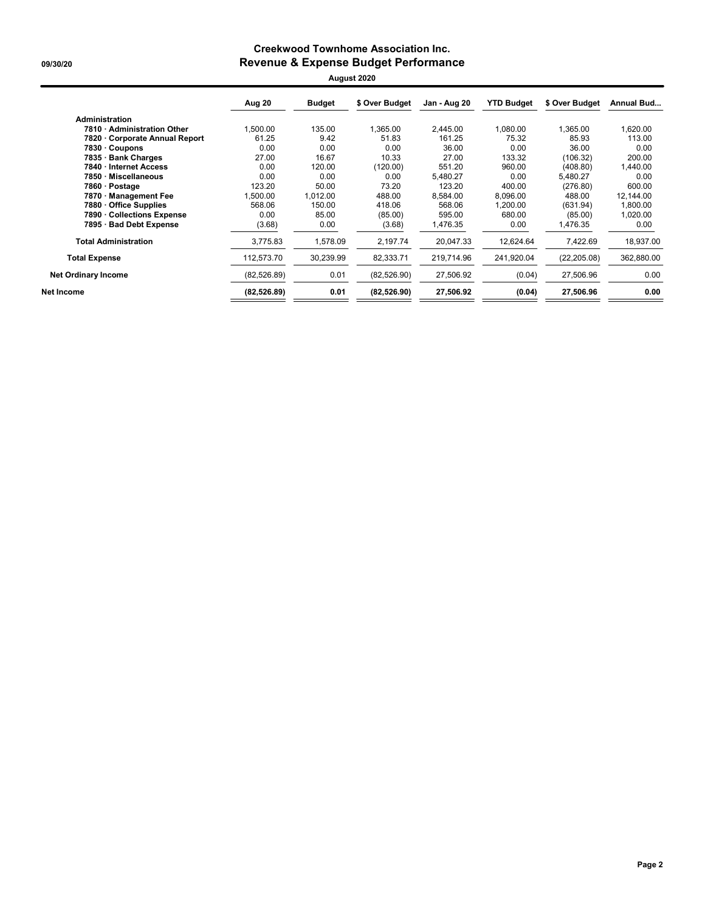$\overline{\phantom{0}}$ 

#### Creekwood Townhome Association Inc. 09/30/20 **Revenue & Expense Budget Performance** August 2020

|                                | Aug 20       | <b>Budget</b> | \$ Over Budget | Jan - Aug 20 | <b>YTD Budget</b> | \$ Over Budget | Annual Bud |
|--------------------------------|--------------|---------------|----------------|--------------|-------------------|----------------|------------|
| <b>Administration</b>          |              |               |                |              |                   |                |            |
| 7810 · Administration Other    | 1,500.00     | 135.00        | 1,365.00       | 2,445.00     | 1,080.00          | 1,365.00       | 1,620.00   |
| 7820 · Corporate Annual Report | 61.25        | 9.42          | 51.83          | 161.25       | 75.32             | 85.93          | 113.00     |
| 7830 · Coupons                 | 0.00         | 0.00          | 0.00           | 36.00        | 0.00              | 36.00          | 0.00       |
| 7835 · Bank Charges            | 27.00        | 16.67         | 10.33          | 27.00        | 133.32            | (106.32)       | 200.00     |
| 7840 · Internet Access         | 0.00         | 120.00        | (120.00)       | 551.20       | 960.00            | (408.80)       | 1,440.00   |
| 7850 · Miscellaneous           | 0.00         | 0.00          | 0.00           | 5,480.27     | 0.00              | 5,480.27       | 0.00       |
| 7860 · Postage                 | 123.20       | 50.00         | 73.20          | 123.20       | 400.00            | (276.80)       | 600.00     |
| 7870 · Management Fee          | 1,500.00     | 1,012.00      | 488.00         | 8,584.00     | 8.096.00          | 488.00         | 12,144.00  |
| 7880 · Office Supplies         | 568.06       | 150.00        | 418.06         | 568.06       | 1,200.00          | (631.94)       | 1,800.00   |
| 7890 · Collections Expense     | 0.00         | 85.00         | (85.00)        | 595.00       | 680.00            | (85.00)        | 1,020.00   |
| 7895 · Bad Debt Expense        | (3.68)       | 0.00          | (3.68)         | 1,476.35     | 0.00              | 1,476.35       | 0.00       |
| Total Administration           | 3,775.83     | 1,578.09      | 2,197.74       | 20,047.33    | 12,624.64         | 7,422.69       | 18,937.00  |
| <b>Total Expense</b>           | 112,573.70   | 30,239.99     | 82,333.71      | 219,714.96   | 241,920.04        | (22, 205.08)   | 362,880.00 |
| <b>Net Ordinary Income</b>     | (82, 526.89) | 0.01          | (82, 526.90)   | 27,506.92    | (0.04)            | 27,506.96      | 0.00       |
| Net Income                     | (82, 526.89) | 0.01          | (82, 526.90)   | 27,506.92    | (0.04)            | 27,506.96      | 0.00       |
|                                |              |               |                |              |                   |                |            |